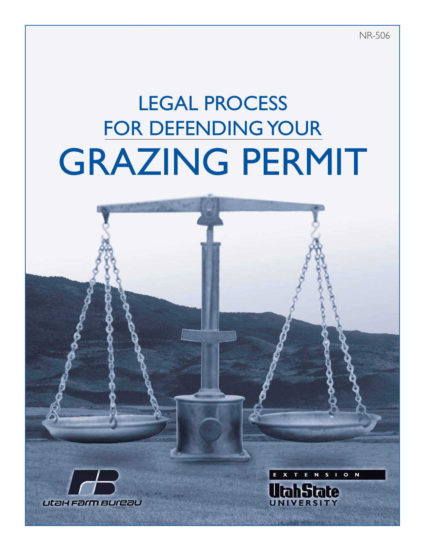NR-506

N

**tate** 

S I O N

# LEGAL PROCESS FOR DEFENDING YOUR GRAZING PERMIT

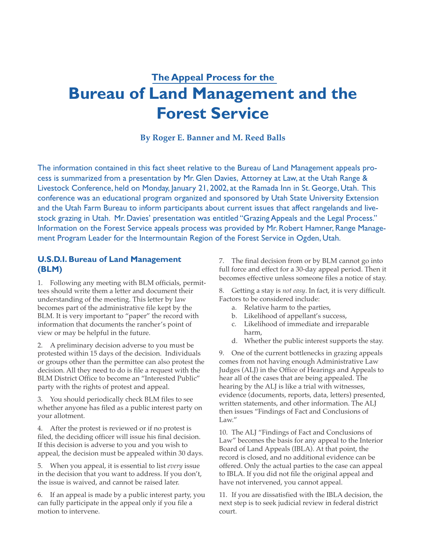# **The Appeal Process for the Bureau of Land Management and the Forest Service**

**By Roger E. Banner and M. Reed Balls**

The information contained in this fact sheet relative to the Bureau of Land Management appeals process is summarized from a presentation by Mr. Glen Davies, Attorney at Law, at the Utah Range & Livestock Conference, held on Monday, January 21, 2002, at the Ramada Inn in St. George, Utah. This conference was an educational program organized and sponsored by Utah State University Extension and the Utah Farm Bureau to inform participants about current issues that affect rangelands and livestock grazing in Utah. Mr. Davies' presentation was entitled "Grazing Appeals and the Legal Process." Information on the Forest Service appeals process was provided by Mr. Robert Hamner, Range Management Program Leader for the Intermountain Region of the Forest Service in Ogden, Utah.

## **U.S.D.I. Bureau of Land Management (BLM)**

1. Following any meeting with BLM officials, permittees should write them a letter and document their understanding of the meeting. This letter by law becomes part of the administrative file kept by the BLM. It is very important to "paper" the record with information that documents the rancher's point of view or may be helpful in the future.

2. A preliminary decision adverse to you must be protested within 15 days of the decision. Individuals or groups other than the permittee can also protest the decision. All they need to do is file a request with the BLM District Office to become an "Interested Public" party with the rights of protest and appeal.

3. You should periodically check BLM files to see whether anyone has filed as a public interest party on your allotment.

4. After the protest is reviewed or if no protest is filed, the deciding officer will issue his final decision. If this decision is adverse to you and you wish to appeal, the decision must be appealed within 30 days.

5. When you appeal, it is essential to list *every* issue in the decision that you want to address. If you don't, the issue is waived, and cannot be raised later.

6. If an appeal is made by a public interest party, you can fully participate in the appeal only if you file a motion to intervene.

7. The final decision from or by BLM cannot go into full force and effect for a 30-day appeal period. Then it becomes effective unless someone files a notice of stay.

8. Getting a stay is *not easy*. In fact, it is very difficult. Factors to be considered include:

- a. Relative harm to the parties,
- b. Likelihood of appellant's success,
- c. Likelihood of immediate and irreparable harm,
- d. Whether the public interest supports the stay.

9. One of the current bottlenecks in grazing appeals comes from not having enough Administrative Law Judges (ALJ) in the Office of Hearings and Appeals to hear all of the cases that are being appealed. The hearing by the ALJ is like a trial with witnesses, evidence (documents, reports, data, letters) presented, written statements, and other information. The ALJ then issues "Findings of Fact and Conclusions of Law."

10. The ALJ "Findings of Fact and Conclusions of Law" becomes the basis for any appeal to the Interior Board of Land Appeals (IBLA). At that point, the record is closed, and no additional evidence can be offered. Only the actual parties to the case can appeal to IBLA. If you did not file the original appeal and have not intervened, you cannot appeal.

11. If you are dissatisfied with the IBLA decision, the next step is to seek judicial review in federal district court.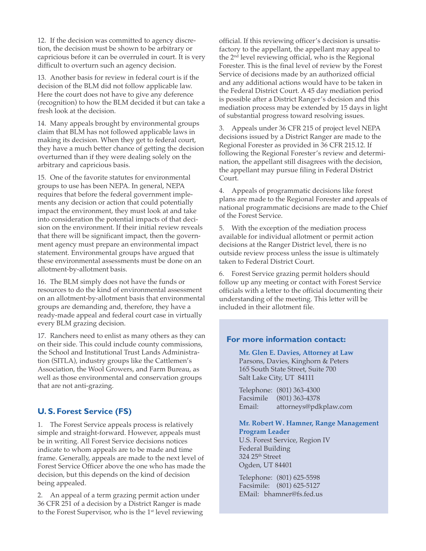12. If the decision was committed to agency discretion, the decision must be shown to be arbitrary or capricious before it can be overruled in court. It is very difficult to overturn such an agency decision.

13. Another basis for review in federal court is if the decision of the BLM did not follow applicable law. Here the court does not have to give any deference (recognition) to how the BLM decided it but can take a fresh look at the decision.

14. Many appeals brought by environmental groups claim that BLM has not followed applicable laws in making its decision. When they get to federal court, they have a much better chance of getting the decision overturned than if they were dealing solely on the arbitrary and capricious basis.

15. One of the favorite statutes for environmental groups to use has been NEPA. In general, NEPA requires that before the federal government implements any decision or action that could potentially impact the environment, they must look at and take into consideration the potential impacts of that decision on the environment. If their initial review reveals that there will be significant impact, then the government agency must prepare an environmental impact statement. Environmental groups have argued that these environmental assessments must be done on an allotment-by-allotment basis.

16. The BLM simply does not have the funds or resources to do the kind of environmental assessment on an allotment-by-allotment basis that environmental groups are demanding and, therefore, they have a ready-made appeal and federal court case in virtually every BLM grazing decision.

17. Ranchers need to enlist as many others as they can on their side. This could include county commissions, the School and Institutional Trust Lands Administration (SITLA), industry groups like the Cattlemen's Association, the Wool Growers, and Farm Bureau, as well as those environmental and conservation groups that are not anti-grazing.

## **U. S. Forest Service (FS)**

1. The Forest Service appeals process is relatively simple and straight-forward. However, appeals must be in writing. All Forest Service decisions notices indicate to whom appeals are to be made and time frame. Generally, appeals are made to the next level of Forest Service Officer above the one who has made the decision, but this depends on the kind of decision being appealed.

2. An appeal of a term grazing permit action under 36 CFR 251 of a decision by a District Ranger is made to the Forest Supervisor, who is the 1<sup>st</sup> level reviewing official. If this reviewing officer's decision is unsatisfactory to the appellant, the appellant may appeal to the 2nd level reviewing official, who is the Regional Forester. This is the final level of review by the Forest Service of decisions made by an authorized official and any additional actions would have to be taken in the Federal District Court. A 45 day mediation period is possible after a District Ranger's decision and this mediation process may be extended by 15 days in light of substantial progress toward resolving issues.

3. Appeals under 36 CFR 215 of project level NEPA decisions issued by a District Ranger are made to the Regional Forester as provided in 36 CFR 215.12. If following the Regional Forester's review and determination, the appellant still disagrees with the decision, the appellant may pursue filing in Federal District Court.

4. Appeals of programmatic decisions like forest plans are made to the Regional Forester and appeals of national programmatic decisions are made to the Chief of the Forest Service.

5. With the exception of the mediation process available for individual allotment or permit action decisions at the Ranger District level, there is no outside review process unless the issue is ultimately taken to Federal District Court.

6. Forest Service grazing permit holders should follow up any meeting or contact with Forest Service officials with a letter to the official documenting their understanding of the meeting. This letter will be included in their allotment file.

#### **For more information contact:**

**Mr. Glen E. Davies, Attorney at Law** Parsons, Davies, Kinghorn & Peters 165 South State Street, Suite 700 Salt Lake City, UT 84111

Telephone: (801) 363-4300 Facsimile (801) 363-4378 Email: attorneys@pdkplaw.com

#### **Mr. Robert W. Hamner, Range Management Program Leader**

U.S. Forest Service, Region IV Federal Building 324 25th Street Ogden, UT 84401

Telephone: (801) 625-5598 Facsimile: (801) 625-5127 EMail: bhamner@fs.fed.us